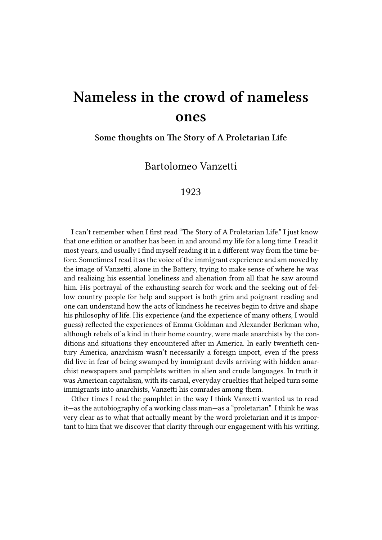## **Nameless in the crowd of nameless ones**

**Some thoughts on The Story of A Proletarian Life**

Bartolomeo Vanzetti

## 1923

I can't remember when I first read "The Story of A Proletarian Life." I just know that one edition or another has been in and around my life for a long time. I read it most years, and usually I find myself reading it in a different way from the time before. Sometimes I read it as the voice of the immigrant experience and am moved by the image of Vanzetti, alone in the Battery, trying to make sense of where he was and realizing his essential loneliness and alienation from all that he saw around him. His portrayal of the exhausting search for work and the seeking out of fellow country people for help and support is both grim and poignant reading and one can understand how the acts of kindness he receives begin to drive and shape his philosophy of life. His experience (and the experience of many others, I would guess) reflected the experiences of Emma Goldman and Alexander Berkman who, although rebels of a kind in their home country, were made anarchists by the conditions and situations they encountered after in America. In early twentieth century America, anarchism wasn't necessarily a foreign import, even if the press did live in fear of being swamped by immigrant devils arriving with hidden anarchist newspapers and pamphlets written in alien and crude languages. In truth it was American capitalism, with its casual, everyday cruelties that helped turn some immigrants into anarchists, Vanzetti his comrades among them.

Other times I read the pamphlet in the way I think Vanzetti wanted us to read it—as the autobiography of a working class man—as a "proletarian". I think he was very clear as to what that actually meant by the word proletarian and it is important to him that we discover that clarity through our engagement with his writing.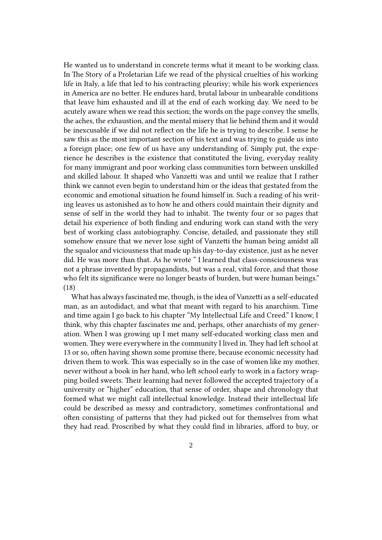He wanted us to understand in concrete terms what it meant to be working class. In The Story of a Proletarian Life we read of the physical cruelties of his working life in Italy, a life that led to his contracting pleurisy; while his work experiences in America are no better. He endures hard, brutal labour in unbearable conditions that leave him exhausted and ill at the end of each working day. We need to be acutely aware when we read this section; the words on the page convey the smells, the aches, the exhaustion, and the mental misery that lie behind them and it would be inexcusable if we did not reflect on the life he is trying to describe. I sense he saw this as the most important section of his text and was trying to guide us into a foreign place; one few of us have any understanding of. Simply put, the experience he describes is the existence that constituted the living, everyday reality for many immigrant and poor working class communities torn between unskilled and skilled labour. It shaped who Vanzetti was and until we realize that I rather think we cannot even begin to understand him or the ideas that gestated from the economic and emotional situation he found himself in. Such a reading of his writing leaves us astonished as to how he and others could maintain their dignity and sense of self in the world they had to inhabit. The twenty four or so pages that detail his experience of both finding and enduring work can stand with the very best of working class autobiography. Concise, detailed, and passionate they still somehow ensure that we never lose sight of Vanzetti the human being amidst all the squalor and viciousness that made up his day-to-day existence, just as he never did. He was more than that. As he wrote " I learned that class-consciousness was not a phrase invented by propagandists, but was a real, vital force, and that those who felt its significance were no longer beasts of burden, but were human beings." (18)

What has always fascinated me, though, is the idea of Vanzetti as a self-educated man, as an autodidact, and what that meant with regard to his anarchism. Time and time again I go back to his chapter "My Intellectual Life and Creed." I know, I think, why this chapter fascinates me and, perhaps, other anarchists of my generation. When I was growing up I met many self-educated working class men and women. They were everywhere in the community I lived in. They had left school at 13 or so, often having shown some promise there, because economic necessity had driven them to work. This was especially so in the case of women like my mother, never without a book in her hand, who left school early to work in a factory wrapping boiled sweets. Their learning had never followed the accepted trajectory of a university or "higher" education, that sense of order, shape and chronology that formed what we might call intellectual knowledge. Instead their intellectual life could be described as messy and contradictory, sometimes confrontational and often consisting of patterns that they had picked out for themselves from what they had read. Proscribed by what they could find in libraries, afford to buy, or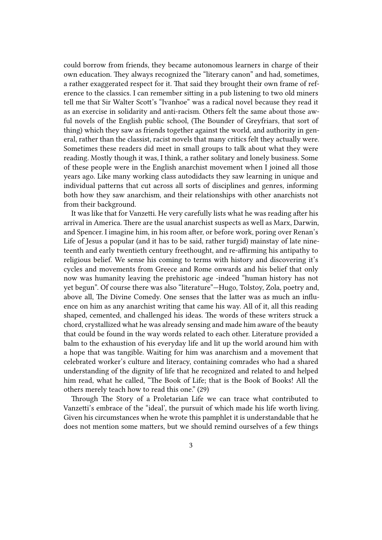could borrow from friends, they became autonomous learners in charge of their own education. They always recognized the "literary canon" and had, sometimes, a rather exaggerated respect for it. That said they brought their own frame of reference to the classics. I can remember sitting in a pub listening to two old miners tell me that Sir Walter Scott's "Ivanhoe" was a radical novel because they read it as an exercise in solidarity and anti-racism. Others felt the same about those awful novels of the English public school, (The Bounder of Greyfriars, that sort of thing) which they saw as friends together against the world, and authority in general, rather than the classist, racist novels that many critics felt they actually were. Sometimes these readers did meet in small groups to talk about what they were reading. Mostly though it was, I think, a rather solitary and lonely business. Some of these people were in the English anarchist movement when I joined all those years ago. Like many working class autodidacts they saw learning in unique and individual patterns that cut across all sorts of disciplines and genres, informing both how they saw anarchism, and their relationships with other anarchists not from their background.

It was like that for Vanzetti. He very carefully lists what he was reading after his arrival in America. There are the usual anarchist suspects as well as Marx, Darwin, and Spencer. I imagine him, in his room after, or before work, poring over Renan's Life of Jesus a popular (and it has to be said, rather turgid) mainstay of late nineteenth and early twentieth century freethought, and re-affirming his antipathy to religious belief. We sense his coming to terms with history and discovering it's cycles and movements from Greece and Rome onwards and his belief that only now was humanity leaving the prehistoric age -indeed "human history has not yet begun". Of course there was also "literature"—Hugo, Tolstoy, Zola, poetry and, above all, The Divine Comedy. One senses that the latter was as much an influence on him as any anarchist writing that came his way. All of it, all this reading shaped, cemented, and challenged his ideas. The words of these writers struck a chord, crystallized what he was already sensing and made him aware of the beauty that could be found in the way words related to each other. Literature provided a balm to the exhaustion of his everyday life and lit up the world around him with a hope that was tangible. Waiting for him was anarchism and a movement that celebrated worker's culture and literacy, containing comrades who had a shared understanding of the dignity of life that he recognized and related to and helped him read, what he called, "The Book of Life; that is the Book of Books! All the others merely teach how to read this one." (29)

Through The Story of a Proletarian Life we can trace what contributed to Vanzetti's embrace of the "ideal', the pursuit of which made his life worth living. Given his circumstances when he wrote this pamphlet it is understandable that he does not mention some matters, but we should remind ourselves of a few things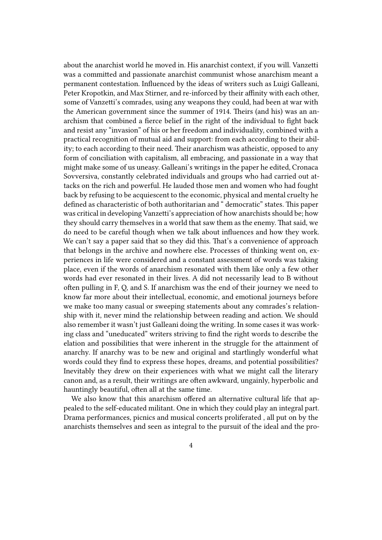about the anarchist world he moved in. His anarchist context, if you will. Vanzetti was a committed and passionate anarchist communist whose anarchism meant a permanent contestation. Influenced by the ideas of writers such as Luigi Galleani, Peter Kropotkin, and Max Stirner, and re-inforced by their affinity with each other, some of Vanzetti's comrades, using any weapons they could, had been at war with the American government since the summer of 1914. Theirs (and his) was an anarchism that combined a fierce belief in the right of the individual to fight back and resist any "invasion" of his or her freedom and individuality, combined with a practical recognition of mutual aid and support: from each according to their ability; to each according to their need. Their anarchism was atheistic, opposed to any form of conciliation with capitalism, all embracing, and passionate in a way that might make some of us uneasy. Galleani's writings in the paper he edited, Cronaca Sovversiva, constantly celebrated individuals and groups who had carried out attacks on the rich and powerful. He lauded those men and women who had fought back by refusing to be acquiescent to the economic, physical and mental cruelty he defined as characteristic of both authoritarian and " democratic" states. This paper was critical in developing Vanzetti's appreciation of how anarchists should be; how they should carry themselves in a world that saw them as the enemy. That said, we do need to be careful though when we talk about influences and how they work. We can't say a paper said that so they did this. That's a convenience of approach that belongs in the archive and nowhere else. Processes of thinking went on, experiences in life were considered and a constant assessment of words was taking place, even if the words of anarchism resonated with them like only a few other words had ever resonated in their lives. A did not necessarily lead to B without often pulling in F, Q, and S. If anarchism was the end of their journey we need to know far more about their intellectual, economic, and emotional journeys before we make too many casual or sweeping statements about any comrades's relationship with it, never mind the relationship between reading and action. We should also remember it wasn't just Galleani doing the writing. In some cases it was working class and "uneducated" writers striving to find the right words to describe the elation and possibilities that were inherent in the struggle for the attainment of anarchy. If anarchy was to be new and original and startlingly wonderful what words could they find to express these hopes, dreams, and potential possibilities? Inevitably they drew on their experiences with what we might call the literary canon and, as a result, their writings are often awkward, ungainly, hyperbolic and hauntingly beautiful, often all at the same time.

We also know that this anarchism offered an alternative cultural life that appealed to the self-educated militant. One in which they could play an integral part. Drama performances, picnics and musical concerts proliferated , all put on by the anarchists themselves and seen as integral to the pursuit of the ideal and the pro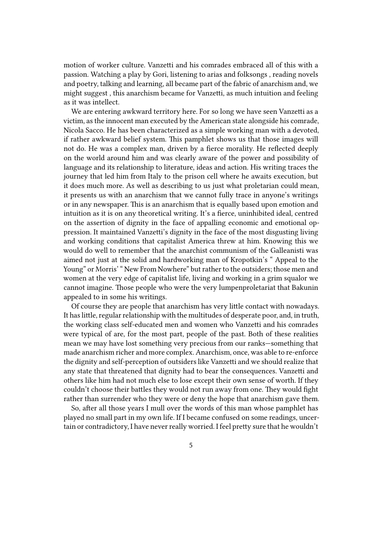motion of worker culture. Vanzetti and his comrades embraced all of this with a passion. Watching a play by Gori, listening to arias and folksongs , reading novels and poetry, talking and learning, all became part of the fabric of anarchism and, we might suggest , this anarchism became for Vanzetti, as much intuition and feeling as it was intellect.

We are entering awkward territory here. For so long we have seen Vanzetti as a victim, as the innocent man executed by the American state alongside his comrade, Nicola Sacco. He has been characterized as a simple working man with a devoted, if rather awkward belief system. This pamphlet shows us that those images will not do. He was a complex man, driven by a fierce morality. He reflected deeply on the world around him and was clearly aware of the power and possibility of language and its relationship to literature, ideas and action. His writing traces the journey that led him from Italy to the prison cell where he awaits execution, but it does much more. As well as describing to us just what proletarian could mean, it presents us with an anarchism that we cannot fully trace in anyone's writings or in any newspaper. This is an anarchism that is equally based upon emotion and intuition as it is on any theoretical writing. It's a fierce, uninhibited ideal, centred on the assertion of dignity in the face of appalling economic and emotional oppression. It maintained Vanzetti's dignity in the face of the most disgusting living and working conditions that capitalist America threw at him. Knowing this we would do well to remember that the anarchist communism of the Galleanisti was aimed not just at the solid and hardworking man of Kropotkin's " Appeal to the Young" or Morris' " New From Nowhere" but rather to the outsiders; those men and women at the very edge of capitalist life, living and working in a grim squalor we cannot imagine. Those people who were the very lumpenproletariat that Bakunin appealed to in some his writings.

Of course they are people that anarchism has very little contact with nowadays. It has little, regular relationship with the multitudes of desperate poor, and, in truth, the working class self-educated men and women who Vanzetti and his comrades were typical of are, for the most part, people of the past. Both of these realities mean we may have lost something very precious from our ranks—something that made anarchism richer and more complex. Anarchism, once, was able to re-enforce the dignity and self-perception of outsiders like Vanzetti and we should realize that any state that threatened that dignity had to bear the consequences. Vanzetti and others like him had not much else to lose except their own sense of worth. If they couldn't choose their battles they would not run away from one. They would fight rather than surrender who they were or deny the hope that anarchism gave them.

So, after all those years I mull over the words of this man whose pamphlet has played no small part in my own life. If I became confused on some readings, uncertain or contradictory, I have never really worried. I feel pretty sure that he wouldn't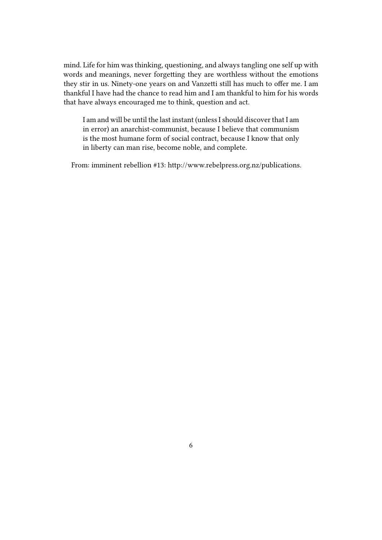mind. Life for him was thinking, questioning, and always tangling one self up with words and meanings, never forgetting they are worthless without the emotions they stir in us. Ninety-one years on and Vanzetti still has much to offer me. I am thankful I have had the chance to read him and I am thankful to him for his words that have always encouraged me to think, question and act.

I am and will be until the last instant (unless I should discover that I am in error) an anarchist-communist, because I believe that communism is the most humane form of social contract, because I know that only in liberty can man rise, become noble, and complete.

From: imminent rebellion #13: http://www.rebelpress.org.nz/publications.